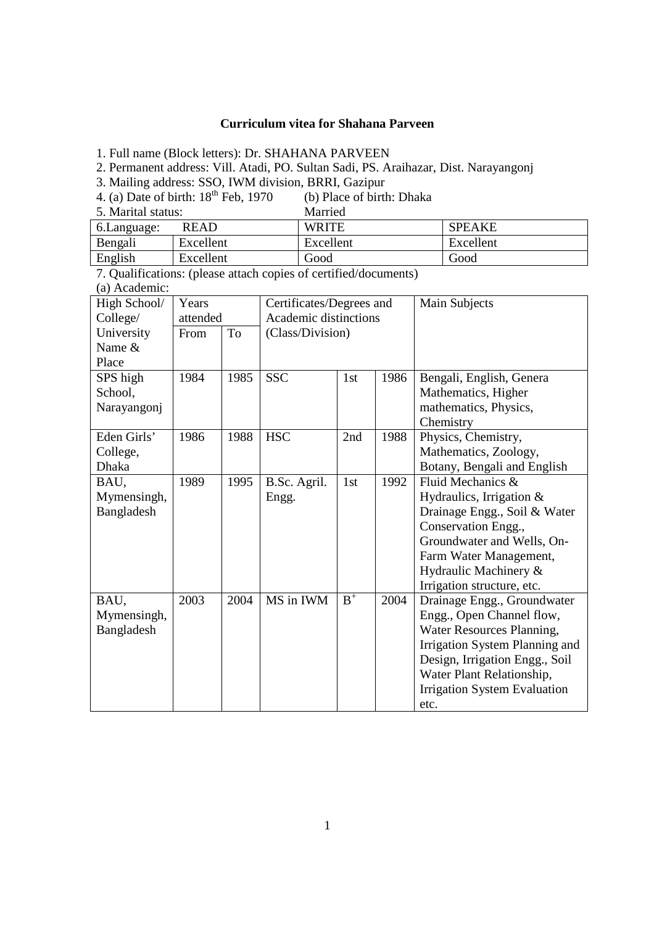## **Curriculum vitea for Shahana Parveen**

1. Full name (Block letters): Dr. SHAHANA PARVEEN

2. Permanent address: Vill. Atadi, PO. Sultan Sadi, PS. Araihazar, Dist. Narayangonj

3. Mailing address: SSO, IWM division, BRRI, Gazipur

4. (a) Date of birth:  $18^{th}$  Feb, 1970 (b) Place of birth: Dhaka<br>5. Marital status: Married  $5.$  Marital status:

| D. Marital Status. |           | ivialiteu    |               |  |
|--------------------|-----------|--------------|---------------|--|
| 6. Language:       | READ      | <b>WRITE</b> | <b>SPEAKE</b> |  |
| Bengali            | Excellent | Excellent    | Excellent     |  |
| English            | Excellent | Good         | Good          |  |

7. Qualifications: (please attach copies of certified/documents)

(a) Academic:

| High School/ | Years    |      | Certificates/Degrees and |       |      | Main Subjects                       |
|--------------|----------|------|--------------------------|-------|------|-------------------------------------|
| College/     | attended |      | Academic distinctions    |       |      |                                     |
| University   | From     | To   | (Class/Division)         |       |      |                                     |
| Name &       |          |      |                          |       |      |                                     |
| Place        |          |      |                          |       |      |                                     |
| SPS high     | 1984     | 1985 | <b>SSC</b>               | 1st   | 1986 | Bengali, English, Genera            |
| School,      |          |      |                          |       |      | Mathematics, Higher                 |
| Narayangonj  |          |      |                          |       |      | mathematics, Physics,               |
|              |          |      |                          |       |      | Chemistry                           |
| Eden Girls'  | 1986     | 1988 | <b>HSC</b>               | 2nd   | 1988 | Physics, Chemistry,                 |
| College,     |          |      |                          |       |      | Mathematics, Zoology,               |
| Dhaka        |          |      |                          |       |      | Botany, Bengali and English         |
| BAU,         | 1989     | 1995 | B.Sc. Agril.             | 1st   | 1992 | Fluid Mechanics &                   |
| Mymensingh,  |          |      | Engg.                    |       |      | Hydraulics, Irrigation &            |
| Bangladesh   |          |      |                          |       |      | Drainage Engg., Soil & Water        |
|              |          |      |                          |       |      | Conservation Engg.,                 |
|              |          |      |                          |       |      | Groundwater and Wells, On-          |
|              |          |      |                          |       |      | Farm Water Management,              |
|              |          |      |                          |       |      | Hydraulic Machinery &               |
|              |          |      |                          |       |      | Irrigation structure, etc.          |
| BAU,         | 2003     | 2004 | MS in IWM                | $B^+$ | 2004 | Drainage Engg., Groundwater         |
| Mymensingh,  |          |      |                          |       |      | Engg., Open Channel flow,           |
| Bangladesh   |          |      |                          |       |      | Water Resources Planning,           |
|              |          |      |                          |       |      | Irrigation System Planning and      |
|              |          |      |                          |       |      | Design, Irrigation Engg., Soil      |
|              |          |      |                          |       |      | Water Plant Relationship,           |
|              |          |      |                          |       |      | <b>Irrigation System Evaluation</b> |
|              |          |      |                          |       |      | etc.                                |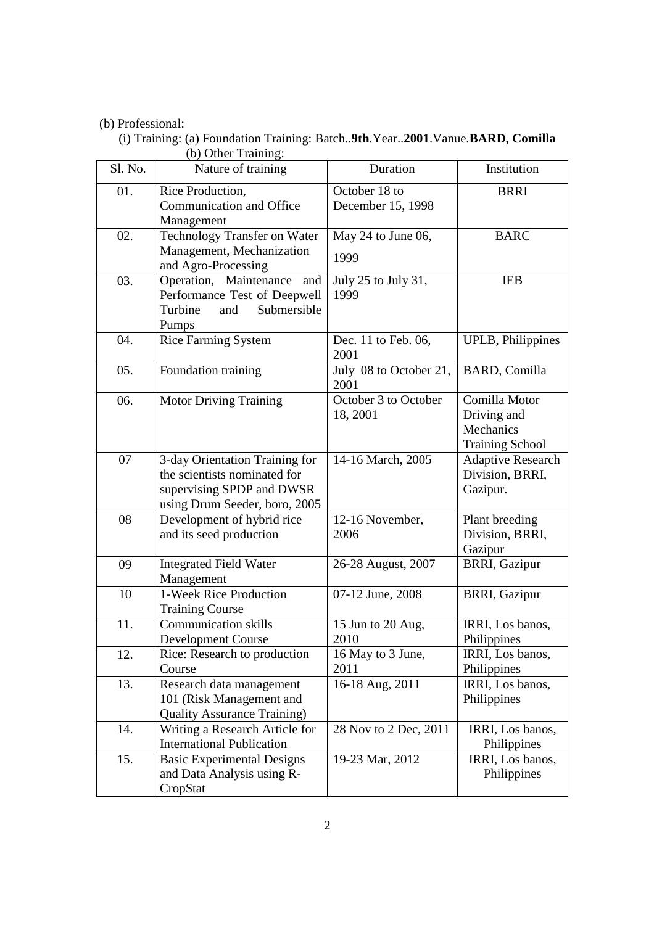# (b) Professional:

 (i) Training: (a) Foundation Training: Batch..**9th**.Year..**2001**.Vanue.**BARD, Comilla** (b) Other Training:

| Sl. No. | Nature of training                                                                                                           | Duration                           | Institution                                                         |
|---------|------------------------------------------------------------------------------------------------------------------------------|------------------------------------|---------------------------------------------------------------------|
| 01.     | Rice Production,<br>Communication and Office<br>Management                                                                   | October 18 to<br>December 15, 1998 | <b>BRRI</b>                                                         |
| 02.     | Technology Transfer on Water<br>Management, Mechanization<br>and Agro-Processing                                             | May 24 to June 06,<br>1999         | <b>BARC</b>                                                         |
| 03.     | Operation, Maintenance and<br>Performance Test of Deepwell<br>Turbine<br>Submersible<br>and<br>Pumps                         | July 25 to July 31,<br>1999        | <b>IEB</b>                                                          |
| 04.     | <b>Rice Farming System</b>                                                                                                   | Dec. 11 to Feb. 06,<br>2001        | <b>UPLB</b> , Philippines                                           |
| 05.     | Foundation training                                                                                                          | July 08 to October 21,<br>2001     | <b>BARD, Comilla</b>                                                |
| 06.     | <b>Motor Driving Training</b>                                                                                                | October 3 to October<br>18, 2001   | Comilla Motor<br>Driving and<br>Mechanics<br><b>Training School</b> |
| 07      | 3-day Orientation Training for<br>the scientists nominated for<br>supervising SPDP and DWSR<br>using Drum Seeder, boro, 2005 | 14-16 March, 2005                  | <b>Adaptive Research</b><br>Division, BRRI,<br>Gazipur.             |
| 08      | Development of hybrid rice<br>and its seed production                                                                        | 12-16 November,<br>2006            | Plant breeding<br>Division, BRRI,<br>Gazipur                        |
| 09      | <b>Integrated Field Water</b><br>Management                                                                                  | 26-28 August, 2007                 | <b>BRRI, Gazipur</b>                                                |
| 10      | 1-Week Rice Production<br><b>Training Course</b>                                                                             | 07-12 June, 2008                   | <b>BRRI, Gazipur</b>                                                |
| 11.     | <b>Communication skills</b><br><b>Development Course</b>                                                                     | 15 Jun to 20 Aug,<br>2010          | IRRI, Los banos,<br>Philippines                                     |
| 12.     | Rice: Research to production<br>Course                                                                                       | 16 May to 3 June,<br>2011          | IRRI, Los banos,<br>Philippines                                     |
| 13.     | Research data management<br>101 (Risk Management and<br><b>Quality Assurance Training)</b>                                   | 16-18 Aug, 2011                    | IRRI, Los banos,<br>Philippines                                     |
| 14.     | Writing a Research Article for<br><b>International Publication</b>                                                           | 28 Nov to 2 Dec, 2011              | IRRI, Los banos,<br>Philippines                                     |
| 15.     | <b>Basic Experimental Designs</b><br>and Data Analysis using R-<br>CropStat                                                  | 19-23 Mar, 2012                    | IRRI, Los banos,<br>Philippines                                     |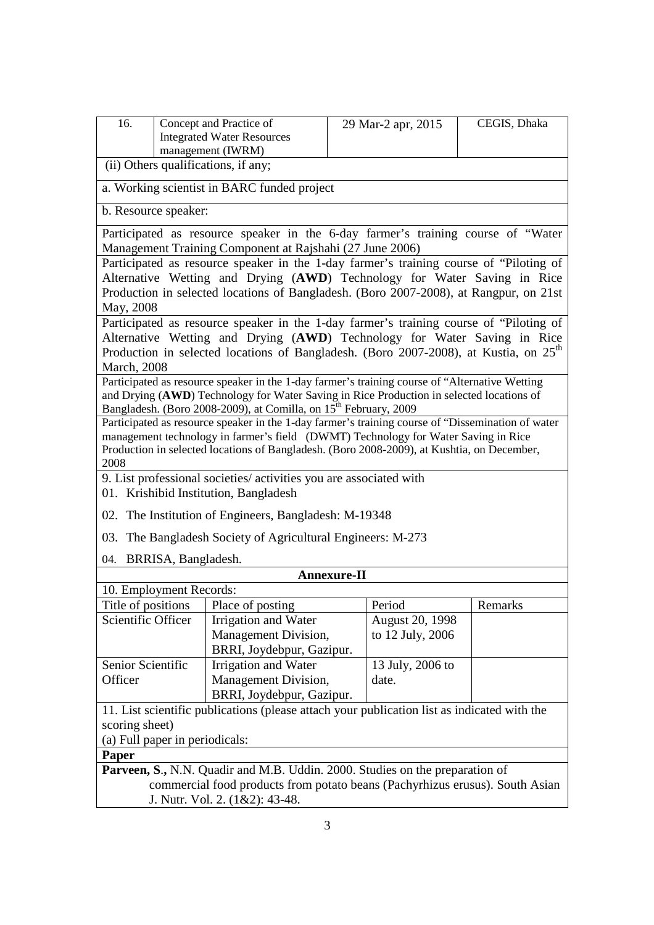| 16.                                                                                         | Concept and Practice of<br><b>Integrated Water Resources</b>                 | 29 Mar-2 apr, 2015                                                                                | CEGIS, Dhaka |  |  |  |
|---------------------------------------------------------------------------------------------|------------------------------------------------------------------------------|---------------------------------------------------------------------------------------------------|--------------|--|--|--|
|                                                                                             | management (IWRM)                                                            |                                                                                                   |              |  |  |  |
| (ii) Others qualifications, if any;                                                         |                                                                              |                                                                                                   |              |  |  |  |
|                                                                                             | a. Working scientist in BARC funded project                                  |                                                                                                   |              |  |  |  |
| b. Resource speaker:                                                                        |                                                                              |                                                                                                   |              |  |  |  |
|                                                                                             | Management Training Component at Rajshahi (27 June 2006)                     | Participated as resource speaker in the 6-day farmer's training course of "Water                  |              |  |  |  |
|                                                                                             |                                                                              | Participated as resource speaker in the 1-day farmer's training course of "Piloting of            |              |  |  |  |
|                                                                                             |                                                                              | Alternative Wetting and Drying (AWD) Technology for Water Saving in Rice                          |              |  |  |  |
|                                                                                             |                                                                              | Production in selected locations of Bangladesh. (Boro 2007-2008), at Rangpur, on 21st             |              |  |  |  |
| May, 2008                                                                                   |                                                                              |                                                                                                   |              |  |  |  |
|                                                                                             |                                                                              | Participated as resource speaker in the 1-day farmer's training course of "Piloting of            |              |  |  |  |
|                                                                                             |                                                                              | Alternative Wetting and Drying (AWD) Technology for Water Saving in Rice                          |              |  |  |  |
|                                                                                             |                                                                              | Production in selected locations of Bangladesh. (Boro 2007-2008), at Kustia, on 25 <sup>th</sup>  |              |  |  |  |
| <b>March</b> , 2008                                                                         |                                                                              | Participated as resource speaker in the 1-day farmer's training course of "Alternative Wetting    |              |  |  |  |
|                                                                                             |                                                                              | and Drying (AWD) Technology for Water Saving in Rice Production in selected locations of          |              |  |  |  |
|                                                                                             | Bangladesh. (Boro 2008-2009), at Comilla, on 15 <sup>th</sup> February, 2009 |                                                                                                   |              |  |  |  |
|                                                                                             |                                                                              | Participated as resource speaker in the 1-day farmer's training course of "Dissemination of water |              |  |  |  |
|                                                                                             |                                                                              | management technology in farmer's field (DWMT) Technology for Water Saving in Rice                |              |  |  |  |
|                                                                                             |                                                                              | Production in selected locations of Bangladesh. (Boro 2008-2009), at Kushtia, on December,        |              |  |  |  |
|                                                                                             | 2008<br>9. List professional societies/ activities you are associated with   |                                                                                                   |              |  |  |  |
|                                                                                             |                                                                              |                                                                                                   |              |  |  |  |
| 01. Krishibid Institution, Bangladesh                                                       |                                                                              |                                                                                                   |              |  |  |  |
| 02. The Institution of Engineers, Bangladesh: M-19348                                       |                                                                              |                                                                                                   |              |  |  |  |
| 03. The Bangladesh Society of Agricultural Engineers: M-273                                 |                                                                              |                                                                                                   |              |  |  |  |
| 04. BRRISA, Bangladesh.                                                                     |                                                                              |                                                                                                   |              |  |  |  |
|                                                                                             |                                                                              | <b>Annexure-II</b>                                                                                |              |  |  |  |
| 10. Employment Records:<br>Title of positions   Place of posting                            |                                                                              | Period                                                                                            | Remarks      |  |  |  |
| Scientific Officer                                                                          | Irrigation and Water                                                         | August 20, 1998                                                                                   |              |  |  |  |
|                                                                                             | Management Division,                                                         | to 12 July, 2006                                                                                  |              |  |  |  |
|                                                                                             | BRRI, Joydebpur, Gazipur.                                                    |                                                                                                   |              |  |  |  |
| Senior Scientific                                                                           | Irrigation and Water                                                         | 13 July, 2006 to                                                                                  |              |  |  |  |
| Officer                                                                                     | Management Division,                                                         | date.                                                                                             |              |  |  |  |
|                                                                                             | BRRI, Joydebpur, Gazipur.                                                    |                                                                                                   |              |  |  |  |
| 11. List scientific publications (please attach your publication list as indicated with the |                                                                              |                                                                                                   |              |  |  |  |
| scoring sheet)                                                                              |                                                                              |                                                                                                   |              |  |  |  |
| (a) Full paper in periodicals:                                                              |                                                                              |                                                                                                   |              |  |  |  |
| Paper                                                                                       |                                                                              |                                                                                                   |              |  |  |  |
| Parveen, S., N.N. Quadir and M.B. Uddin. 2000. Studies on the preparation of                |                                                                              |                                                                                                   |              |  |  |  |
| commercial food products from potato beans (Pachyrhizus erusus). South Asian                |                                                                              |                                                                                                   |              |  |  |  |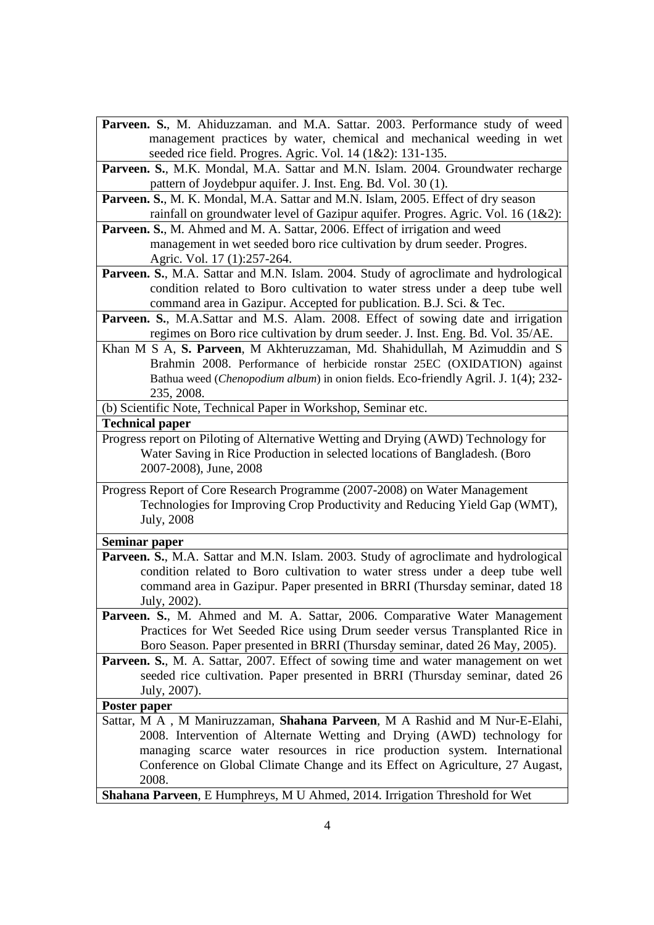- Parveen. S., M. Ahiduzzaman. and M.A. Sattar. 2003. Performance study of weed management practices by water, chemical and mechanical weeding in wet seeded rice field. Progres. Agric. Vol. 14 (1&2): 131-135.
- Parveen. S., M.K. Mondal, M.A. Sattar and M.N. Islam. 2004. Groundwater recharge pattern of Joydebpur aquifer. J. Inst. Eng. Bd. Vol. 30 (1).

**Parveen. S.**, M. K. Mondal, M.A. Sattar and M.N. Islam, 2005. Effect of dry season rainfall on groundwater level of Gazipur aquifer. Progres. Agric. Vol. 16 (1&2):

Parveen. S., M. Ahmed and M. A. Sattar, 2006. Effect of irrigation and weed management in wet seeded boro rice cultivation by drum seeder. Progres. Agric. Vol. 17 (1):257-264.

**Parveen. S.**, M.A. Sattar and M.N. Islam. 2004. Study of agroclimate and hydrological condition related to Boro cultivation to water stress under a deep tube well command area in Gazipur. Accepted for publication. B.J. Sci. & Tec.

Parveen. S., M.A.Sattar and M.S. Alam. 2008. Effect of sowing date and irrigation regimes on Boro rice cultivation by drum seeder. J. Inst. Eng. Bd. Vol. 35/AE.

Khan M S A, **S. Parveen**, M Akhteruzzaman, Md. Shahidullah, M Azimuddin and S Brahmin 2008. Performance of herbicide ronstar 25EC (OXIDATION) against Bathua weed (*Chenopodium album*) in onion fields. Eco-friendly Agril. J. 1(4); 232- 235, 2008.

(b) Scientific Note, Technical Paper in Workshop, Seminar etc.

### **Technical paper**

Progress report on Piloting of Alternative Wetting and Drying (AWD) Technology for Water Saving in Rice Production in selected locations of Bangladesh. (Boro 2007-2008), June, 2008

Progress Report of Core Research Programme (2007-2008) on Water Management Technologies for Improving Crop Productivity and Reducing Yield Gap (WMT), July, 2008

#### **Seminar paper**

- **Parveen. S.**, M.A. Sattar and M.N. Islam. 2003. Study of agroclimate and hydrological condition related to Boro cultivation to water stress under a deep tube well command area in Gazipur. Paper presented in BRRI (Thursday seminar, dated 18 July, 2002).
- Parveen. S., M. Ahmed and M. A. Sattar, 2006. Comparative Water Management Practices for Wet Seeded Rice using Drum seeder versus Transplanted Rice in Boro Season. Paper presented in BRRI (Thursday seminar, dated 26 May, 2005).

**Parveen. S.**, M. A. Sattar, 2007. Effect of sowing time and water management on wet seeded rice cultivation. Paper presented in BRRI (Thursday seminar, dated 26 July, 2007).

## **Poster paper**

Sattar, M A , M Maniruzzaman, **Shahana Parveen**, M A Rashid and M Nur-E-Elahi, 2008. Intervention of Alternate Wetting and Drying (AWD) technology for managing scarce water resources in rice production system. International Conference on Global Climate Change and its Effect on Agriculture, 27 Augast, 2008.

**Shahana Parveen**, E Humphreys, M U Ahmed, 2014. Irrigation Threshold for Wet